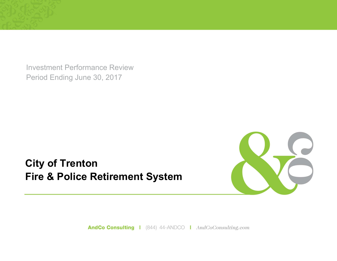Investment Performance Review Period Ending June 30, 2017

**City of Trenton Fire & Police Retirement System**



AndCo Consulting | (844) 44-ANDCO | AndCoConsulting.com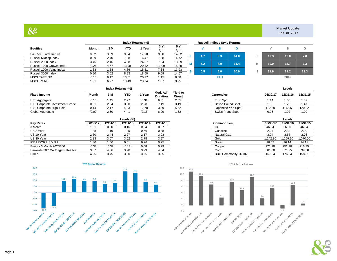## $88$

|                          |        |      |            |               | <b>Russell Indices Style Returns</b> |                           |    |     |            |      |   |      |      |     |
|--------------------------|--------|------|------------|---------------|--------------------------------------|---------------------------|----|-----|------------|------|---|------|------|-----|
| <b>Equities</b>          | Month  | 3 M  | <u>YTD</u> | <u>l Year</u> | 3 Yr<br><u>Ann</u>                   | <u>5 Yr</u><br><u>Ann</u> |    |     |            | G    |   |      | в    |     |
| S&P 500 Total Return     | 0.62   | 3.09 | 9.34       | 17.90         | 9.60                                 | 14.62                     |    | 4.7 | 9.3        | 14.0 |   | 17.3 | 12.0 |     |
| Russell Midcap Index     | 0.99   | 2.70 | 7.98       | 16.47         | 7.68                                 | 14.72                     |    |     |            |      |   |      |      |     |
| Russell 2000 Index       | 3.46   | 2.46 | 4.98       | 24.57         | 7.34                                 | 13.69                     |    | 5.2 | 8.0        | 11.4 | м | 19.9 | 13.7 |     |
| Russell 1000 Growth Indx | (0.26) | 4.67 | 13.99      | 20.42         | 11.09                                | 15.29                     | M  |     |            |      |   |      |      |     |
| Russell 1000 Value Index | 1.63   | 1.34 | 4.66       | 15.51         | 7.34                                 | 13.93                     | s. | 0.5 | 5.0        | 10.0 | ົ | 31.6 | 21.2 | 11. |
| Russell 3000 Index       | 0.90   | 3.02 | 8.93       | 18.50         | 9.09                                 | 14.57                     |    |     |            |      | ə |      |      |     |
| <b>MSCI EAFE NR</b>      | (0.18) | 6.12 | 13.81      | 20.27         | 1.15                                 | 8.68                      |    |     | <b>YTD</b> |      |   |      | 2016 |     |
| <b>MSCI EM NR</b>        | 1.01   | 6.27 | 18.43      | 23.74         | 1.07                                 | 3.95                      |    |     |            |      |   |      |      |     |

Market Update June 30, 2017

|   |     | в   | G    |   | ٧    | в      | G    |
|---|-----|-----|------|---|------|--------|------|
| L | 4.7 | 9.3 | 14.0 |   | 17.3 | $12.0$ | 7.0  |
| М | 5.2 | 8.0 | 11.4 | M | 19.9 | 13.7   | 7.3  |
| S | 0.5 | 5.0 | 10.0 | S | 31.6 | 21.2   | 11.3 |
|   |     | YTD |      |   |      | 2016   |      |

|                                 |        |      | Index Returns (%) |        |                       |                                 |                           |          | Levels      |         |
|---------------------------------|--------|------|-------------------|--------|-----------------------|---------------------------------|---------------------------|----------|-------------|---------|
| <b>Fixed Income</b>             | Month  | 3 M  | <u>YTD</u>        | Year   | Mod. Adi.<br>Duration | <b>Yield to</b><br><b>Worst</b> | Currencies                | 06/30/17 | 12/31/16    | 12/31/1 |
| U.S. Aggregate                  | (0.10) | l.45 | 2.27              | (0.31) | 6.01                  | 2.55                            | Euro Spot                 | 1.14     | i.05        | 1.09    |
| U.S. Corporate Investment Grade | 0.31   | 2.54 | 3.80              | 2.28   | 7.49                  | 3.19                            | <b>British Pound Spot</b> | 30. ا    | <b>1.23</b> | 1.47    |
| U.S. Corporate High Yield       | 0.14   | 2.17 | 4.93              | 12.70  | 3.89                  | 5.62                            | Japanese Yen Spot         | 112.39   | 116.96      | 120.22  |
| Global Aggregate                | (0.09) | 2.60 | 4.41              | (2.18) | 6.99                  | 1.62                            | Swiss Franc Spot          | 0.96     | l.02        | 1.00    |

|                                |          |          | Levels (%) |          |          |
|--------------------------------|----------|----------|------------|----------|----------|
| <b>Key Rates</b>               | 06/30/17 | 12/31/16 | 12/31/15   | 12/31/14 | 12/31/13 |
| 3 Month                        | 1.01     | 0.50     | 0.16       | 0.04     | 0.07     |
| US 2 Year                      | 1.38     | 1.19     | 1.05       | 0.66     | 0.38     |
| US 10 Year                     | 2.30     | 2.44     | 2.27       | 2.17     | 3.03     |
| US 30 Year                     | 2.83     | 3.07     | 3.02       | 2.75     | 3.97     |
| ICE LIBOR USD 3M               | 1.30     | 1.00     | 0.61       | 0.26     | 0.25     |
| Euribor 3 Month ACT/360        | (0.33)   | (0.32)   | (0.13)     | 0.08     | 0.29     |
| Bankrate 30Y Mortgage Rates Na | 3.87     | 4.06     | 3.90       | 3.99     | 4.54     |
| Prime                          | 4.25     | 3.75     | 3.50       | 3.25     | 3.25     |



| Worst<br>n | <b>Currencies</b>         | 06/30/17 | 12/31/16 | 12/31/15 |
|------------|---------------------------|----------|----------|----------|
| 2.55       | Euro Spot                 | 1.14     | 1.05     | 1.09     |
| 3.19       | <b>British Pound Spot</b> | 1.30     | 1.23     | 1.47     |
| 5.62       | Japanese Yen Spot         | 112.39   | 116.96   | 120.22   |
| 1.62       | Swiss Franc Spot          | 0.96     | 1.02     | 1.00     |

| Levels (%) |          |          |
|------------|----------|----------|
| 12/31/15   | 12/31/14 | 12/31/13 |
| 0.16       | 0.04     | 0.07     |
| 1.05       | 0.66     | 0.38     |
| 2.27       | 2.17     | 3.03     |
| 3.02       | 2.75     | 3.97     |
| 0.61       | 0.26     | 0.25     |
| (0.13)     | 0.08     | 0.29     |
| 3.90       | 3.99     | 4.54     |
| 3.50       | 3.25     | 3.25     |
|            |          |          |

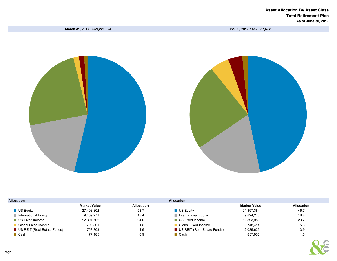March 31, 2017 : \$51,228,624 June 30, 2017 : \$52,257,572



| <b>Allocation</b>                   |                     |                   | <b>Allocation</b>           |                     |                   |
|-------------------------------------|---------------------|-------------------|-----------------------------|---------------------|-------------------|
|                                     | <b>Market Value</b> | <b>Allocation</b> |                             | <b>Market Value</b> | <b>Allocation</b> |
| $\blacksquare$ US Equity            | 27,493,302          | 53.7              | $\blacksquare$ US Equity    | 24,397,384          | 46.7              |
| $\blacksquare$ International Equity | 9,409,271           | 18.4              | International Equity        | 9,824,243           | 18.8              |
| ■ US Fixed Income                   | 12,301,762          | 24.0              | <b>US Fixed Income</b>      | 12.393.956          | 23.7              |
| Global Fixed Income                 | 793.801             | 1.5               | Global Fixed Income         | 2.748.414           | 5.3               |
| US REIT (Real-Estate Funds)         | 753,303             | 1.5               | US REIT (Real-Estate Funds) | 2,035,639           | 3.9               |
| $\blacksquare$ Cash                 | 477,185             | 0.9               | $\blacksquare$ Cash         | 857.935             | 1.6               |

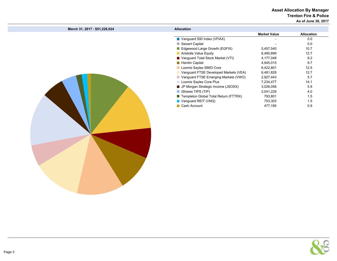### Asset Allocation By Manager Trenton Fire & Police

As of June 30, 2017

| <b>Market Value</b><br>Vanguard 500 Index (VFIAX)<br>0.0<br>0.0<br>Seizert Capital<br>10.7<br>Edgewood Large Growth (EGFIX)<br>5,457,540<br>12.7<br>Aristotle Value Equity<br>6,490,899<br>■ Vanguard Total Stock Market (VTI)<br>8.2<br>4,177,048<br>9.7<br>Hamlin Capital<br>4,945,015<br>12.5<br>Loomis Sayles SMID Core<br>6,422,801<br>12.7<br>Vanguard FTSE Developed Markets (VEA)<br>6,481,828<br>Vanguard FTSE Emerging Markets (VWO)<br>5.7<br>2,927,443<br>Loomis Sayles Core Plus<br>14.1<br>7,234,477<br>5.9<br>■ JP Morgan Strategic Income (JSOSX)<br>3,026,056<br>iShares TIPS (TIP)<br>4.0<br>2,041,229<br>Templeton Global Total Return (FTTRX)<br>793,801<br>1.5<br>Vanguard REIT (VNQ)<br>753,303<br>1.5<br>Cash Account<br>477,185<br>0.9 | March 31, 2017: \$51,228,624 | <b>Allocation</b> |                   |
|----------------------------------------------------------------------------------------------------------------------------------------------------------------------------------------------------------------------------------------------------------------------------------------------------------------------------------------------------------------------------------------------------------------------------------------------------------------------------------------------------------------------------------------------------------------------------------------------------------------------------------------------------------------------------------------------------------------------------------------------------------------|------------------------------|-------------------|-------------------|
|                                                                                                                                                                                                                                                                                                                                                                                                                                                                                                                                                                                                                                                                                                                                                                |                              |                   | <b>Allocation</b> |
|                                                                                                                                                                                                                                                                                                                                                                                                                                                                                                                                                                                                                                                                                                                                                                |                              |                   |                   |
|                                                                                                                                                                                                                                                                                                                                                                                                                                                                                                                                                                                                                                                                                                                                                                |                              |                   |                   |
|                                                                                                                                                                                                                                                                                                                                                                                                                                                                                                                                                                                                                                                                                                                                                                |                              |                   |                   |
|                                                                                                                                                                                                                                                                                                                                                                                                                                                                                                                                                                                                                                                                                                                                                                |                              |                   |                   |
|                                                                                                                                                                                                                                                                                                                                                                                                                                                                                                                                                                                                                                                                                                                                                                |                              |                   |                   |
|                                                                                                                                                                                                                                                                                                                                                                                                                                                                                                                                                                                                                                                                                                                                                                |                              |                   |                   |
|                                                                                                                                                                                                                                                                                                                                                                                                                                                                                                                                                                                                                                                                                                                                                                |                              |                   |                   |
|                                                                                                                                                                                                                                                                                                                                                                                                                                                                                                                                                                                                                                                                                                                                                                |                              |                   |                   |
|                                                                                                                                                                                                                                                                                                                                                                                                                                                                                                                                                                                                                                                                                                                                                                |                              |                   |                   |
|                                                                                                                                                                                                                                                                                                                                                                                                                                                                                                                                                                                                                                                                                                                                                                |                              |                   |                   |
|                                                                                                                                                                                                                                                                                                                                                                                                                                                                                                                                                                                                                                                                                                                                                                |                              |                   |                   |
|                                                                                                                                                                                                                                                                                                                                                                                                                                                                                                                                                                                                                                                                                                                                                                |                              |                   |                   |
|                                                                                                                                                                                                                                                                                                                                                                                                                                                                                                                                                                                                                                                                                                                                                                |                              |                   |                   |
|                                                                                                                                                                                                                                                                                                                                                                                                                                                                                                                                                                                                                                                                                                                                                                |                              |                   |                   |
|                                                                                                                                                                                                                                                                                                                                                                                                                                                                                                                                                                                                                                                                                                                                                                |                              |                   |                   |
|                                                                                                                                                                                                                                                                                                                                                                                                                                                                                                                                                                                                                                                                                                                                                                |                              |                   |                   |

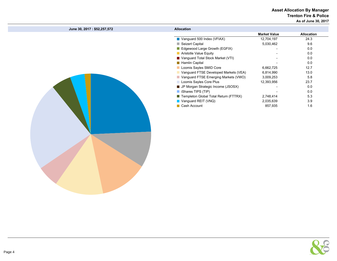#### Asset Allocation By Manager Trenton Fire & Police As of June 30, 2017

| June 30, 2017 : \$52,257,572 | <b>Allocation</b>                     |                     |                   |
|------------------------------|---------------------------------------|---------------------|-------------------|
|                              |                                       | <b>Market Value</b> | <b>Allocation</b> |
|                              | Vanguard 500 Index (VFIAX)            | 12,704,197          | 24.3              |
|                              | Seizert Capital                       | 5,030,462           | 9.6               |
|                              | Edgewood Large Growth (EGFIX)         |                     | 0.0               |
|                              | Aristotle Value Equity                |                     | 0.0               |
|                              | Vanguard Total Stock Market (VTI)     |                     | 0.0               |
|                              | <b>Hamlin Capital</b>                 |                     | 0.0               |
|                              | Loomis Sayles SMID Core               | 6,662,725           | 12.7              |
|                              | Vanguard FTSE Developed Markets (VEA) | 6,814,990           | 13.0              |
|                              | Vanguard FTSE Emerging Markets (VWO)  | 3,009,253           | 5.8               |
|                              | Loomis Sayles Core Plus               | 12,393,956          | 23.7              |
|                              | JP Morgan Strategic Income (JSOSX)    |                     | 0.0               |
|                              | Shares TIPS (TIP)                     |                     | 0.0               |
|                              | Templeton Global Total Return (FTTRX) | 2,748,414           | 5.3               |
|                              | Vanguard REIT (VNQ)                   | 2,035,639           | 3.9               |
|                              | Cash Account                          | 857,935             | 1.6               |
|                              |                                       |                     |                   |

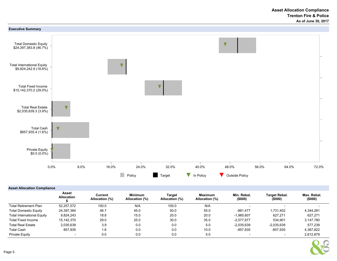

#### Asset Allocation Compliance

|                                   | Asset<br><b>Allocation</b> | Current<br>Allocation (%) | Minimum<br>Allocation (%) | Target<br>Allocation (%) | Maximum<br>Allocation (%) | Min. Rebal.<br>(\$000) | <b>Target Rebal.</b><br>(\$000) | Max. Rebal.<br>(\$000) |
|-----------------------------------|----------------------------|---------------------------|---------------------------|--------------------------|---------------------------|------------------------|---------------------------------|------------------------|
| <b>Total Retirement Plan</b>      | 52.257.572                 | 100.0                     | N/A                       | 100.0                    | N/A                       | -                      | $\overline{\phantom{0}}$        |                        |
| <b>Total Domestic Equity</b>      | 24,397,384                 | 46.7                      | 45.0                      | 50.0                     | 55.0                      | -881.477               | 1.731.402                       | 4.344.281              |
| <b>Total International Equity</b> | 9.824.243                  | 18.8                      | 15.0                      | 20.0                     | 20.0                      | $-1.985.607$           | 627.271                         | 627.271                |
| <b>Total Fixed Income</b>         | 15.142.370                 | 29.0                      | 25.0                      | 30.0                     | 35.0                      | $-2.077.977$           | 534.901                         | 3.147.780              |
| <b>Total Real Estate</b>          | 2,035,639                  | 3.9                       | 0.0                       | 0.0                      | 5.0                       | $-2.035.639$           | $-2.035.639$                    | 577.239                |
| <b>Total Cash</b>                 | 857.935                    | 1.6                       | 0.0                       | 0.0                      | 10.0                      | -857.935               | $-857.935$                      | 4.367.822              |
| Private Equity                    | $\overline{\phantom{0}}$   | 0.0                       | 0.0                       | 0.0                      | 5.0                       |                        |                                 | 2,612,879              |

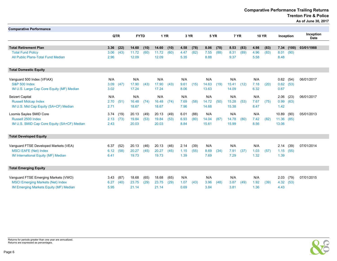Comparative Performance Trailing Returns Trenton Fire & Police

As of June 30, 2017

| <b>Comparative Performance</b>              |      |            |             |      |       |      |      |      |             |      |       |      |      |              |             |       |                          |
|---------------------------------------------|------|------------|-------------|------|-------|------|------|------|-------------|------|-------|------|------|--------------|-------------|-------|--------------------------|
|                                             |      | <b>QTR</b> | <b>FYTD</b> |      | 1 YR  |      | 3 YR |      | <b>5 YR</b> |      | 7 YR  |      |      | <b>10 YR</b> | Inception   |       | Inception<br><b>Date</b> |
| <b>Total Retirement Plan</b>                | 3.36 | (22)       | 14.60       | (10) | 14.60 | (10) | 4.58 | (78) | 8.06        | (78) | 8.53  | (83) | 4.98 | (83)         | 7.34        | (100) | 03/01/1988               |
| <b>Total Fund Policy</b>                    | 3.06 | (43)       | 11.72       | (60) | 11.72 | (60) | 4.47 | (82) | 7.55        | (88) | 8.31  | (89) | 4.96 | (83)         | 8.01        | (90)  |                          |
| All Public Plans-Total Fund Median          | 2.96 |            | 12.09       |      | 12.09 |      | 5.35 |      | 8.88        |      | 9.37  |      | 5.58 |              | 8.48        |       |                          |
| <b>Total Domestic Equity</b>                |      |            |             |      |       |      |      |      |             |      |       |      |      |              |             |       |                          |
| Vanguard 500 Index (VFIAX)                  | N/A  |            | N/A         |      | N/A   |      | N/A  |      | N/A         |      | N/A   |      | N/A  |              | $0.62$ (54) |       | 06/01/2017               |
| <b>S&amp;P 500 Index</b>                    | 3.09 | (47)       | 17.90       | (43) | 17.90 | (43) | 9.61 | (15) | 14.63       | (19) | 15.41 | (12) | 7.18 | (20)         | 0.62        | (53)  |                          |
| IM U.S. Large Cap Core Equity (MF) Median   | 3.02 |            | 17.24       |      | 17.24 |      | 8.06 |      | 13.63       |      | 14.09 |      | 6.32 |              | 0.67        |       |                          |
| Seizert Capital                             | N/A  |            | N/A         |      | N/A   |      | N/A  |      | N/A         |      | N/A   |      | N/A  |              | 2.06        | (23)  | 06/01/2017               |
| <b>Russell Midcap Index</b>                 | 2.70 | (51)       | 16.48       | (74) | 16.48 | (74) | 7.69 | (58) | 14.72       | (50) | 15.28 | (53) | 7.67 | (75)         | 0.99        | (63)  |                          |
| IM U.S. Mid Cap Equity (SA+CF) Median       | 2.71 |            | 18.67       |      | 18.67 |      | 7.96 |      | 14.68       |      | 15.38 |      | 8.47 |              | 1.42        |       |                          |
| Loomis Sayles SMID Core                     | 3.74 | (19)       | 20.13       | (49) | 20.13 | (49) | 6.01 | (88) | N/A         |      | N/A   |      | N/A  |              | 10.89       | (90)  | 05/01/2013               |
| Russell 2500 Index                          | 2.13 | (73)       | 19.84       | (53) | 19.84 | (53) | 6.93 | (80) | 14.04       | (87) | 14.78 | (80) | 7.42 | (82)         | 11.36 (85)  |       |                          |
| IM U.S. SMID Cap Core Equity (SA+CF) Median | 2.43 |            | 20.03       |      | 20.03 |      | 8.84 |      | 15.61       |      | 15.99 |      | 8.56 |              | 13.06       |       |                          |
| <b>Total Developed Equity</b>               |      |            |             |      |       |      |      |      |             |      |       |      |      |              |             |       |                          |
| Vanguard FTSE Developed Markets (VEA)       | 6.37 | (52)       | 20.13       | (46) | 20.13 | (46) | 2.14 | (39) | N/A         |      | N/A   |      | N/A  |              | 2.14        | (39)  | 07/01/2014               |
| <b>MSCI EAFE (Net) Index</b>                | 6.12 | (58)       | 20.27       | (45) | 20.27 | (45) | 1.15 | (55) | 8.69        | (34) | 7.91  | (37) | 1.03 | (57)         | 1.15(55)    |       |                          |
| IM International Equity (MF) Median         | 6.41 |            | 19.73       |      | 19.73 |      | 1.39 |      | 7.69        |      | 7.29  |      | 1.32 |              | 1.39        |       |                          |
| <b>Total Emerging Equity</b>                |      |            |             |      |       |      |      |      |             |      |       |      |      |              |             |       |                          |
| Vanguard FTSE Emerging Markets (VWO)        | 3.43 | (87)       | 18.68       | (65) | 18.68 | (65) | N/A  |      | N/A         |      | N/A   |      | N/A  |              | 2.03        | (79)  | 07/01/2015               |
| <b>MSCI Emerging Markets (Net) Index</b>    | 6.27 | (40)       | 23.75       | (29) | 23.75 | (29) | 1.07 | (43) | 3.96        | (48) | 3.87  | (49) | 1.92 | (39)         | 4.32        | (53)  |                          |
| IM Emerging Markets Equity (MF) Median      | 5.95 |            | 21.14       |      | 21.14 |      | 0.69 |      | 3.84        |      | 3.81  |      | 1.36 |              | 4.43        |       |                          |



Returns for periods greater than one year are annualized. Returns are expressed as percentages.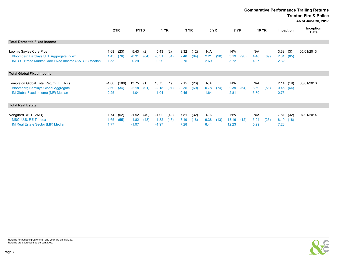Comparative Performance Trailing Returns

Trenton Fire & Police

As of June 30, 2017

|                                                                                                                             |                         |               |                               |              |                               |              |                         |              |                     |             |                       |      |                     |              |                      |              | $A3$ of Julie 30, 2017 |
|-----------------------------------------------------------------------------------------------------------------------------|-------------------------|---------------|-------------------------------|--------------|-------------------------------|--------------|-------------------------|--------------|---------------------|-------------|-----------------------|------|---------------------|--------------|----------------------|--------------|------------------------|
|                                                                                                                             |                         | <b>QTR</b>    |                               | <b>FYTD</b>  |                               | <b>1 YR</b>  |                         | 3 YR         |                     | <b>5 YR</b> |                       | 7 YR |                     | <b>10 YR</b> | Inception            |              | Inception<br>Date      |
| <b>Total Domestic Fixed Income</b>                                                                                          |                         |               |                               |              |                               |              |                         |              |                     |             |                       |      |                     |              |                      |              |                        |
| Loomis Sayles Core Plus<br>Bloomberg Barclays U.S. Aggregate Index<br>IM U.S. Broad Market Core Fixed Income (SA+CF) Median | 1.68<br>1.45<br>1.53    | (23)<br>(76)  | 5.43<br>$-0.31$<br>0.29       | (2)<br>(84)  | 5.43<br>$-0.31$<br>0.29       | (2)<br>(84)  | 3.32<br>2.48<br>2.75    | (12)<br>(84) | N/A<br>2.21<br>2.69 | (90)        | N/A<br>3.19<br>3.72   | (90) | N/A<br>4.48<br>4.97 | (89)         | 3.38<br>2.01<br>2.32 | (3)<br>(85)  | 05/01/2013             |
| <b>Total Global Fixed Income</b>                                                                                            |                         |               |                               |              |                               |              |                         |              |                     |             |                       |      |                     |              |                      |              |                        |
| Templeton Global Total Return (FTTRX)<br><b>Bloomberg Barclays Global Aggregate</b><br>IM Global Fixed Income (MF) Median   | $-1.00$<br>2.60<br>2.25 | (100)<br>(34) | 13.75<br>$-2.18$<br>1.04      | (1)<br>(91)  | 13.75<br>$-2.18$<br>1.04      | (1)<br>(91)  | 2.15<br>$-0.35$<br>0.45 | (23)<br>(69) | N/A<br>0.78<br>1.64 | (74)        | N/A<br>2.39<br>2.81   | (64) | N/A<br>3.69<br>3.79 | (53)         | 2.14<br>0.45<br>0.76 | (19)<br>(64) | 05/01/2013             |
| <b>Total Real Estate</b>                                                                                                    |                         |               |                               |              |                               |              |                         |              |                     |             |                       |      |                     |              |                      |              |                        |
| Vanguard REIT (VNQ)<br><b>MSCI U.S. REIT Index</b><br>IM Real Estate Sector (MF) Median                                     | 1.74<br>1.65<br>1.77    | (52)<br>(55)  | $-1.92$<br>$-1.82$<br>$-1.97$ | (49)<br>(48) | $-1.92$<br>$-1.82$<br>$-1.97$ | (49)<br>(48) | 7.81<br>8.19<br>7.28    | (32)<br>(18) | N/A<br>9.38<br>8.44 | (13)        | N/A<br>13.16<br>12.23 | (12) | N/A<br>5.94<br>5.29 | (26)         | 7.81<br>8.19<br>7.28 | (32)<br>(18) | 07/01/2014             |

Page 7

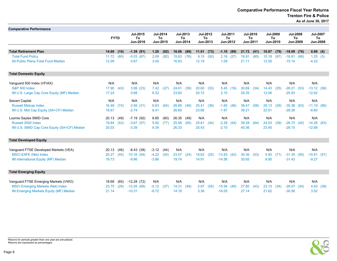Comparative Performance Fiscal Year Returns Trenton Fire & Police As of June 30, 2017

| <b>Comparative Performance</b>                           |                                |                            |                                   |                                   |                                   |                                   |                                   |                                   |                                   |                                          |
|----------------------------------------------------------|--------------------------------|----------------------------|-----------------------------------|-----------------------------------|-----------------------------------|-----------------------------------|-----------------------------------|-----------------------------------|-----------------------------------|------------------------------------------|
|                                                          | <b>FYTD</b>                    | Jul-2015<br>To<br>Jun-2016 | <b>Jul-2014</b><br>To<br>Jun-2015 | <b>Jul-2013</b><br>To<br>Jun-2014 | <b>Jul-2012</b><br>To<br>Jun-2013 | <b>Jul-2011</b><br>To<br>Jun-2012 | <b>Jul-2010</b><br>To<br>Jun-2011 | <b>Jul-2009</b><br>To<br>Jun-2010 | <b>Jul-2008</b><br>To<br>Jun-2009 | <b>Jul-2007</b><br>To<br><b>Jun-2008</b> |
|                                                          |                                |                            |                                   |                                   |                                   |                                   |                                   |                                   |                                   |                                          |
| <b>Total Retirement Plan</b><br><b>Total Fund Policy</b> | 14.60<br>(10)<br>11.72<br>(60) | $-1.39(91)$<br>$-0.03(67)$ | 1.20<br>(92)<br>2.09<br>(82)      | 16.06<br>(69)<br>15.63<br>(76)    | 11.01<br>(73)<br>9.15<br>(92)     | $-1.10(89)$<br>$2.18$ (27)        | 21.72<br>(41)<br>18.91<br>(80)    | 10.87<br>(79)<br>10.18<br>(87)    | $-18.09$ (76)<br>$-16.81(68)$     | 0.89(4)<br>1.25(3)                       |
| All Public Plans-Total Fund Median                       | 12.09                          | 0.67                       | 3.45                              | 16.83                             | 12.19                             | 1.09                              | 21.11                             | 12.50                             | $-15.14$                          | $-4.22$                                  |
| <b>Total Domestic Equity</b>                             |                                |                            |                                   |                                   |                                   |                                   |                                   |                                   |                                   |                                          |
| Vanguard 500 Index (VFIAX)                               | N/A                            | N/A                        | N/A                               | N/A                               | N/A                               | N/A                               | N/A                               | N/A                               | N/A                               | N/A                                      |
| <b>S&amp;P 500 Index</b>                                 | 17.90<br>(43)                  | 3.99(23)                   | 7.42<br>(27)                      | 24.61<br>(39)                     | 20.60<br>(53)                     | 5.45(19)                          | 30.69<br>(34)                     | 14.43<br>(25)                     | $-26.21$<br>(53)                  | $-13.12(56)$                             |
| IM U.S. Large Cap Core Equity (MF) Median                | 17.24                          | 0.68                       | 6.32                              | 23.60                             | 20.72                             | 2.10                              | 29.35                             | 12.06                             | $-25.93$                          | $-12.62$                                 |
| Seizert Capital                                          | N/A                            | N/A                        | N/A                               | N/A                               | N/A                               | N/A                               | N/A                               | N/A                               | N/A                               | N/A                                      |
| <b>Russell Midcap Index</b>                              | 16.48<br>(74)                  | 0.56(31)                   | 6.63<br>(64)                      | 26.85<br>(49)                     | (36)<br>25.41                     | $-1.65$ (48)                      | 38.47<br>(58)                     | 25.13<br>(29)                     | $-30.36$<br>(63)                  | $-11.19(66)$                             |
| IM U.S. Mid Cap Equity (SA+CF) Median                    | 18.67                          | $-2.74$                    | 8.41                              | 26.69                             | 23.66                             | $-1.97$                           | 39.21                             | 22.81                             | $-28.26$                          | $-8.60$                                  |
| Loomis Sayles SMID Core                                  | 20.13<br>(49)                  | $-7.19(92)$                | 6.85<br>(60)                      | 26.35 (49)                        | N/A                               | N/A                               | N/A                               | N/A                               | N/A                               | N/A                                      |
| Russell 2500 Index                                       | 19.84<br>(53)                  | $-3.67(57)$                | 5.92<br>(77)                      | 25.58<br>(65)                     | 25.61<br>(44)                     | $-2.29$ (54)                      | 39.28<br>(64)                     | 24.03<br>(39)                     | $-26.72(40)$                      | $-14.28(63)$                             |
| IM U.S. SMID Cap Core Equity (SA+CF) Median              | 20.03                          | $-3.39$                    | 8.34                              | 26.33                             | 25.43                             | $-2.10$                           | 40.36                             | 23.45                             | $-28.15$                          | $-12.68$                                 |
| <b>Total Developed Equity</b>                            |                                |                            |                                   |                                   |                                   |                                   |                                   |                                   |                                   |                                          |
| Vanguard FTSE Developed Markets (VEA)                    | 20.13<br>(46)                  | $-8.43(38)$                | $-3.12$<br>(44)                   | N/A                               | N/A                               | N/A                               | N/A                               | N/A                               | N/A                               | N/A                                      |
| <b>MSCI EAFE (Net) Index</b>                             | 20.27<br>(45)                  | $-10.16(54)$               | $-4.22$<br>(55)                   | 23.57<br>(24)                     | 18.62<br>(25)                     | $-13.83(42)$                      | 30.36<br>(53)                     | 5.92<br>(71)                      | $-31.35$<br>(50)                  | $-10.61(57)$                             |
| IM International Equity (MF) Median                      | 19.73                          | $-9.86$                    | $-3.86$                           | 19.74                             | 14.91                             | $-14.56$                          | 30.65                             | 9.95                              | $-31.43$                          | $-9.27$                                  |
| <b>Total Emerging Equity</b>                             |                                |                            |                                   |                                   |                                   |                                   |                                   |                                   |                                   |                                          |
| Vanguard FTSE Emerging Markets (VWO)                     | 18.68<br>(65)                  | $-12.28(72)$               | N/A                               | N/A                               | N/A                               | N/A                               | N/A                               | N/A                               | N/A                               | N/A                                      |
| <b>MSCI Emerging Markets (Net) Index</b>                 | 23.75<br>(29)                  | $-12.05(69)$               | $-5.12$<br>(37)                   | 14.31<br>(49)                     | 2.87<br>(55)                      | $-15.94(49)$                      | 27.80<br>(43)                     | 23.15<br>(34)                     | $-28.07$ (34)                     | 4.63<br>(38)                             |
| IM Emerging Markets Equity (MF) Median                   | 21.14                          | $-10.31$                   | $-6.72$                           | 14.18                             | 3.36                              | $-16.05$                          | 27.14                             | 21.62                             | $-30.56$                          | 3.52                                     |



Returns for periods greater than one year are annualized. Returns are expressed as percentages.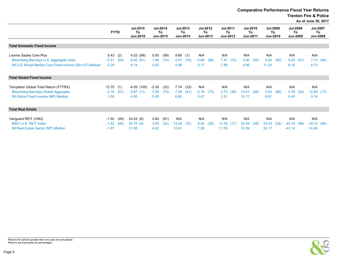Comparative Performance Fiscal Year Returns

Trenton Fire & Police

As of June 30, 2017

| <b>FYTD</b>                            | Jul-2015<br>To<br>Jun-2016       | To                            |                                                                             |              |                                                |      |                                   |                                                                        |                                                  |                                   |      |                                                                     |                                                                               |                                                                                                |
|----------------------------------------|----------------------------------|-------------------------------|-----------------------------------------------------------------------------|--------------|------------------------------------------------|------|-----------------------------------|------------------------------------------------------------------------|--------------------------------------------------|-----------------------------------|------|---------------------------------------------------------------------|-------------------------------------------------------------------------------|------------------------------------------------------------------------------------------------|
|                                        |                                  |                               |                                                                             |              |                                                |      |                                   |                                                                        |                                                  |                                   |      |                                                                     |                                                                               |                                                                                                |
| 5.43<br>(2)<br>$-0.31$<br>(84)<br>0.29 | 4.03 (99)<br>6.00(61)<br>6.14    | 0.55<br>1.86<br>2.05          | 4.37<br>4.98                                                                | (79)         | N/A<br>$-0.69$<br>0.17                         | (88) | N/A<br>7.88                       | N/A<br>3.90<br>4.66                                                    | (82)                                             | N/A<br>11.20                      | (83) | N/A<br>6.15                                                         | N/A                                                                           | 7.12(44)                                                                                       |
|                                        |                                  |                               |                                                                             |              |                                                |      |                                   |                                                                        |                                                  |                                   |      |                                                                     |                                                                               |                                                                                                |
| 13.75(1)<br>$-2.18$<br>(91)<br>1.04    | $-4.09(100)$<br>8.87(11)<br>4.95 | $-2.30$<br>$-7.09$<br>$-5.09$ | 7.74<br>7.39<br>6.90                                                        | (33)<br>(41) | N/A<br>$-2.18$<br>0.47                         | (75) | N/A<br>2.51                       | N/A<br>10.51<br>10.17                                                  | (48)                                             | N/A<br>8.61                       | (88) | N/A<br>$-0.40$                                                      | N/A<br>9.14                                                                   |                                                                                                |
|                                        |                                  |                               |                                                                             |              |                                                |      |                                   |                                                                        |                                                  |                                   |      |                                                                     |                                                                               |                                                                                                |
| $-1.92$<br>(49)<br>$-1.82$<br>(48)     | 24.24 (8)<br>24.10(9)            | 2.84<br>3.93                  | N/A                                                                         | (37)         | N/A<br>9.04                                    | (20) | N/A                               | N/A<br>34.09                                                           | (39)                                             | N/A                               | (24) | N/A                                                                 | N/A                                                                           |                                                                                                |
|                                        | $-1.97$                          |                               | <b>Jul-2014</b><br>Jun-2015<br>(99)<br>(74)<br>(32)<br>(73)<br>(81)<br>(52) |              | Jul-2013<br>To<br>Jun-2014<br>9.68(1)<br>13.38 |      | <b>Jul-2012</b><br>To<br>Jun-2013 | <b>Jul-2011</b><br>To<br>Jun-2012<br>7.47(72)<br>2.73(46)<br>13.18(17) | 4.02<br>12.91<br>7.29<br>33.39<br>21.08<br>11.59 | <b>Jul-2010</b><br>To<br>Jun-2011 |      | <b>Jul-2009</b><br>To<br>Jun-2010<br>9.50<br>5.00<br>55.23<br>52.17 | <b>Jul-2008</b><br>To<br>Jun-2009<br>6.05(51)<br>2.76(24)<br>$-43.74$<br>(58) | <b>Jul-2007</b><br>To<br>Jun-2008<br>6.73<br>12.90(17)<br>$-14.14(46)$<br>$-43.14$<br>$-14.46$ |

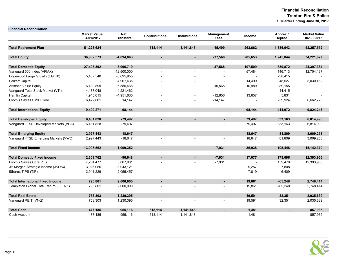| <b>Financial Reconciliation</b>         |                                   |                                |                      |                          |                           |         |                     |                                   |
|-----------------------------------------|-----------------------------------|--------------------------------|----------------------|--------------------------|---------------------------|---------|---------------------|-----------------------------------|
|                                         | <b>Market Value</b><br>04/01/2017 | <b>Net</b><br><b>Transfers</b> | <b>Contributions</b> | <b>Distributions</b>     | Management<br><b>Fees</b> | Income  | Apprec./<br>Deprec. | <b>Market Value</b><br>06/30/2017 |
|                                         |                                   |                                |                      |                          |                           |         |                     |                                   |
| <b>Total Retirement Plan</b>            | 51,228,624                        | ٠                              | 618,114              | $-1,141,843$             | $-45,499$                 | 263,662 | 1,386,643           | 52,257,572                        |
|                                         |                                   |                                |                      |                          |                           |         |                     |                                   |
| <b>Total Equity</b>                     | 36,902,573                        | $-4,094,863$                   |                      | $\blacksquare$           | $-37,568$                 | 205,653 | 1,245,844           | 34,221,627                        |
| <b>Total Domestic Equity</b>            | 27,493,302                        | $-3,996,719$                   | $\blacksquare$       | $\blacksquare$           | $-37,568$                 | 107,509 | 830,872             | 24,397,384                        |
| Vanguard 500 Index (VFIAX)              |                                   | 12,500,000                     |                      |                          |                           | 57,484  | 146,713             | 12,704,197                        |
| Edgewood Large Growth (EGFIX)           | 5,457,540                         | $-5,695,955$                   |                      |                          |                           |         | 238,415             |                                   |
| Seizert Capital                         |                                   | 4,967,435                      |                      |                          |                           | 14,499  | 48,527              | 5,030,462                         |
| <b>Aristotle Value Equity</b>           | 6,490,899                         | $-6,580,468$                   |                      | $\overline{\phantom{a}}$ | $-10,565$                 | 10,980  | 89,155              |                                   |
| Vanguard Total Stock Market (VTI)       | 4,177,048                         | $-4,221,462$                   |                      |                          |                           |         | 44,415              |                                   |
| Hamlin Capital                          | 4,945,015                         | $-4,951,635$                   |                      |                          | $-12,856$                 | 13,657  | 5,831               |                                   |
| Loomis Sayles SMID Core                 | 6,422,801                         | 14,147                         |                      |                          | $-14,147$                 |         | 239,924             | 6,662,725                         |
|                                         |                                   |                                |                      |                          |                           |         |                     |                                   |
| <b>Total International Equity</b>       | 9,409,271                         | $-98,144$                      | ۰.                   | $\blacksquare$           | $\blacksquare$            | 98,144  | 414,972             | 9,824,243                         |
|                                         |                                   |                                |                      |                          |                           |         |                     |                                   |
| <b>Total Developed Equity</b>           | 6,481,828                         | $-79,497$                      |                      | $\blacksquare$           | ٠                         | 79,497  | 333,163             | 6,814,990                         |
| Vanguard FTSE Developed Markets (VEA)   | 6,481,828                         | $-79,497$                      |                      |                          | $\overline{a}$            | 79,497  | 333,163             | 6,814,990                         |
|                                         |                                   |                                |                      |                          |                           |         |                     |                                   |
| <b>Total Emerging Equity</b>            | 2,927,443                         | $-18,647$                      | ٠                    | $\blacksquare$           | $\blacksquare$            | 18,647  | 81,809              | 3,009,253                         |
| Vanguard FTSE Emerging Markets (VWO)    | 2,927,443                         | $-18,647$                      |                      |                          |                           | 18,647  | 81,809              | 3,009,253                         |
|                                         |                                   |                                |                      |                          |                           |         |                     |                                   |
| <b>Total Fixed Income</b>               | 13,095,562                        | 1,909,352                      | ٠                    | $\blacksquare$           | $-7,931$                  | 36,938  | 108,448             | 15,142,370                        |
|                                         |                                   |                                |                      |                          |                           |         |                     |                                   |
| <b>Total Domestic Fixed Income</b>      | 12,301,762                        | $-90,648$                      | ۰                    | ٠                        | $-7,931$                  | 17,077  | 173,696             | 12,393,956                        |
| Loomis Sayles Core Plus                 | 7,234,477                         | 5,007,931                      |                      | $\overline{a}$           | $-7,931$                  |         | 159,478             | 12,393,956                        |
| JP Morgan Strategic Income (JSOSX)      | 3,026,056                         | $-3,043,121$                   |                      |                          |                           | 9,257   | 7,808               |                                   |
| iShares TIPS (TIP)                      | 2,041,229                         | $-2,055,457$                   |                      |                          |                           | 7,819   | 6,409               |                                   |
|                                         |                                   |                                |                      |                          |                           |         |                     |                                   |
| <b>Total International Fixed Income</b> | 793,801                           | 2,000,000                      |                      | $\blacksquare$           | ٠                         | 19,861  | $-65,248$           | 2,748,414                         |
| Templeton Global Total Return (FTTRX)   | 793,801                           | 2,000,000                      |                      |                          |                           | 19,861  | $-65,248$           | 2,748,414                         |
|                                         |                                   |                                |                      |                          |                           |         |                     |                                   |
| <b>Total Real Estate</b>                | 753,303                           | 1,230,395                      |                      | ٠                        | ٠                         | 19,591  | 32,351              | 2,035,639                         |
| Vanguard REIT (VNQ)                     | 753,303                           | 1,230,395                      |                      | $\overline{a}$           | $\overline{a}$            | 19,591  | 32,351              | 2,035,639                         |
|                                         |                                   |                                |                      |                          |                           |         |                     |                                   |
| <b>Total Cash</b>                       | 477,185                           | 955,116                        | 618,114              | $-1,141,843$             | ٠                         | 1,481   |                     | 857,935                           |
| Cash Account                            | 477,185                           | 955,116                        | 618,114              | $-1,141,843$             | $\overline{a}$            | 1,481   |                     | 857,935                           |

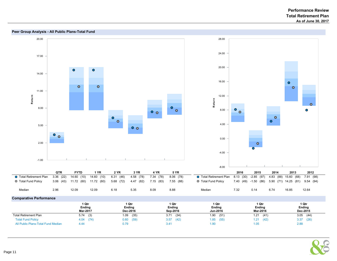

All Public Plans-Total Fund Median  $4.44$   $0.79$   $3.41$   $1.90$   $1.05$   $1.05$   $2.88$ 

# NONE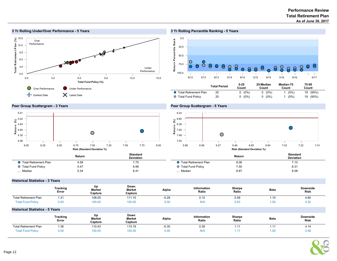#### Performance Review As of June 30, 2017 Total Retirement Plan



#### 3 Yr Rolling Under/Over Performance - 5 Years

#### 3 Yr Rolling Percentile Ranking - 5 Years



|                         | ו טעמו די כוויטע | Count    | Count        | Count | Count    |  |
|-------------------------|------------------|----------|--------------|-------|----------|--|
| ● Total Retirement Plan | 20               | $(0\%)$  | $(0\%)$<br>0 | (5%)  | 19 (95%) |  |
| ○ Total Fund Policy     | 20               | $0(0\%)$ | $0(0\%)$     | (5%)  | 19 (95%) |  |

#### Peer Group Scattergram - 3 Years



#### Peer Group Scattergram - 5 Years



|                         | Return | Standard<br><b>Deviation</b> |                                | Return | Standard<br><b>Deviation</b> |
|-------------------------|--------|------------------------------|--------------------------------|--------|------------------------------|
| ◯ Total Retirement Plan | 4.58   | 7.75                         | <b>O</b> Total Retirement Plan | 8.06   | 7.10                         |
| ○ Total Fund Policy     | 4.47   | 6.99                         | O Total Fund Policy            | 7.55   | 6.31                         |
| Median                  | 5.34   | $6.4^{\circ}$                | - Median                       | 8.87   | 6.08                         |

#### Historical Statistics - 3 Years

|                                        | Tracking<br>Error        | Up<br>Market<br>Capture | Down<br>Market<br>Capture | Alpha   | Information<br>Ratio | Sharpe<br>Ratio | <b>Beta</b> | <b>Downside</b><br><b>Risk</b> |
|----------------------------------------|--------------------------|-------------------------|---------------------------|---------|----------------------|-----------------|-------------|--------------------------------|
| <b>Total Retirement Plan</b>           | 1.31                     | 108.05                  | 111.10                    | $-0.28$ | 0.12                 | 0.59            | 1.10        | 4.80                           |
| <b>Total Fund Policy</b>               | 0.00                     | 100.00                  | 100.00                    | 0.00    | N/A                  | 0.63            | 1.00        | 4.30                           |
| <b>Historical Statistics - 5 Years</b> |                          |                         |                           |         |                      |                 |             |                                |
|                                        | <b>Tracking</b><br>Error | Up<br>Market<br>Capture | Down<br>Market<br>Capture | Alpha   | Information<br>Ratio | Sharpe<br>Ratio | <b>Beta</b> | <b>Downside</b><br><b>Risk</b> |
| <b>Total Retirement Plan</b>           | 1.36                     | 110.43                  | 115.19                    | $-0.30$ | 0.39                 | 1.11            | 1.11        | 4.14                           |
| <b>Total Fund Policy</b>               | 0.00                     | 100.00                  | 100.00                    | 0.00    | N/A                  | 1.17            | 1.00        | 3.56                           |

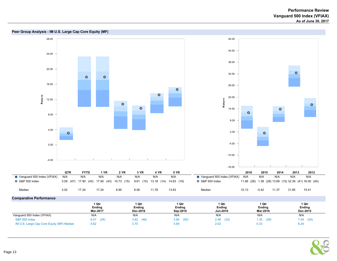



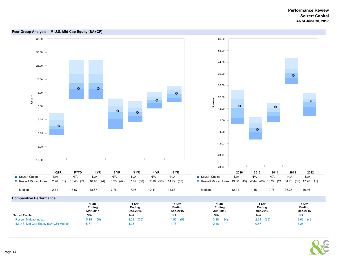



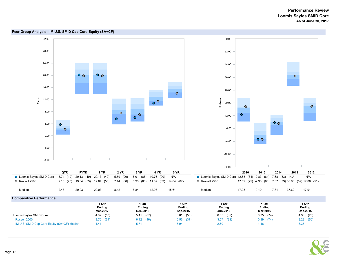

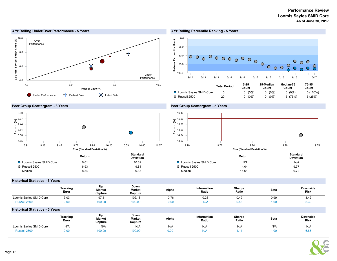#### 10.0 Loomis Sayles SMID C ore (%) Over Performance 8.0  $\frac{1}{2}$ X 6.0 Under Performance 4.0 4.0 6.0 6.0 8.0 8.0 10.0 Russell 2500 (%) Under Performance F Earliest Date Matest Date

#### 3 Yr Rolling Percentile Ranking - 5 Years



#### Peer Group Scattergram - 3 Years

3 Yr Rolling Under/Over Performance - 5 Years



#### Peer Group Scattergram - 5 Years



|                                  | Return | <b>Standard</b><br><b>Deviation</b> |                                  | Return | <b>Standard</b><br><b>Deviation</b> |
|----------------------------------|--------|-------------------------------------|----------------------------------|--------|-------------------------------------|
| <b>Q</b> Loomis Sayles SMID Core | 6.01   | 10.62                               | <b>O</b> Loomis Sayles SMID Core | N/A    | N/A                                 |
| Russell 2500                     | 6.93   | 9.84                                | O Russell 2500                   | 14.04  | 9.77                                |
| _ Median                         | 8.84   | 9.33                                | _ Median                         | 15.61  | 9.72                                |

#### Historical Statistics - 3 Years

|                         | <b>Tracking</b><br>Error | Up<br><b>Market</b><br>Capture | Down<br><b>Market</b><br>Capture | Alpha   | <b>Information</b><br>Ratio | <b>Sharpe</b><br>Ratio | <b>Beta</b> | <b>Downside</b><br><b>Risk</b> |
|-------------------------|--------------------------|--------------------------------|----------------------------------|---------|-----------------------------|------------------------|-------------|--------------------------------|
| Loomis Sayles SMID Core | 3.03                     | 97.5'                          | 102.18                           | $-0.76$ | -0.28                       | 0.49                   | 0.99        | 8.42                           |
| Russell 2500            | 0.00                     | 100.00                         | 100.00                           | 0.00    | N/A                         | 0.56                   | 0.1         | ט.ט                            |

#### Historical Statistics - 5 Years

|                         | <b>Tracking</b><br>Error | Up<br><b>Market</b><br>Capture | Down<br><b>Market</b><br>Capture | Alpha | Information<br>Ratio | Sharpe<br>Ratio | <b>Beta</b> | <b>Downside</b><br><b>Risk</b> |
|-------------------------|--------------------------|--------------------------------|----------------------------------|-------|----------------------|-----------------|-------------|--------------------------------|
| Loomis Sayles SMID Core | N/A                      | <b>N/A</b>                     | N/A                              | N/A   | N/A                  | N/A             | N/A         | N/A                            |
| Russell 2500            | 0.00                     | 100.00                         | 100.00                           | 0.00  | N/A                  | . . 14          | 1.00        | ხ.ŏ:                           |

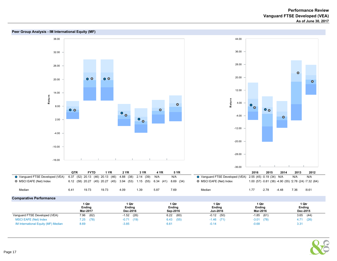



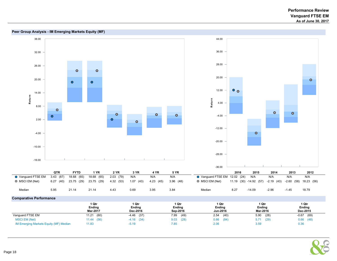



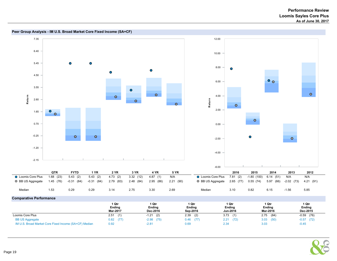



Page 19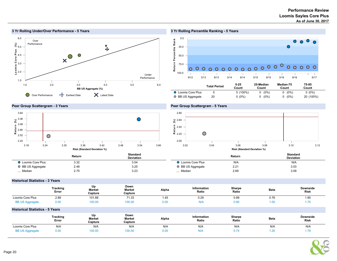





0.0 Return Percentile Rank eturn Percentile R ank  $\bullet$  $\bullet$  $\bullet$ 25.0  $\bullet$ 50.0 000000000000 75.0  $000$  $\circ$   $\circ$  $\circ$   $\circ$  $\circ$ 100.0 9/12 3/13 9/13 3/14 9/14 3/15 9/15 3/16 9/16 6/17 25-Median Median-75 75-95 Total Period 5-25

|                           | Total Period | -------<br>Count | --- ----------<br>Count | ---------------<br>Count | - - - -<br>Count |  |
|---------------------------|--------------|------------------|-------------------------|--------------------------|------------------|--|
| <b>O</b> Loomis Core Plus |              | $5(100\%)$       | $(0\%)$                 | $(0\%)$                  | $0(0\%)$         |  |
| O BB US Aggregate         | 20           | 0 (0%)           | $(0\%)$                 | $(0\%)$                  | 20 (100%)        |  |

#### Peer Group Scattergram - 3 Years



#### Peer Group Scattergram - 5 Years



|                           | Return | <b>Standard</b><br><b>Deviation</b> |                         | Return | Standard<br><b>Deviation</b> |
|---------------------------|--------|-------------------------------------|-------------------------|--------|------------------------------|
| <b>Q</b> Loomis Core Plus | 3.32   | 3.54                                | <b>Loomis Core Plus</b> | N/A    | N/A                          |
| ○ BB US Aggregate         | 2.48   | 3.25                                | BB US Aggregate         | 2.21   | 3.03                         |
| <sub>__</sub> _ Median    | 2.75   | 3.23                                | _ Median                | 2.69   | 3.09                         |

 $\overline{a}$ 

#### Historical Statistics - 3 Years

|                                        | Tracking<br>Error | Up<br>Market<br>Capture | Down<br>Market<br>Capture | Alpha | Information<br>Ratio | Sharpe<br>Ratio | <b>Beta</b> | <b>Downside</b><br><b>Risk</b> |
|----------------------------------------|-------------------|-------------------------|---------------------------|-------|----------------------|-----------------|-------------|--------------------------------|
| Loomis Core Plus                       | 2.89              | 101.88                  | 71.33                     | 1.45  | 0.29                 | 0.89            | 0.76        | 1.90                           |
| <b>BB US Aggregate</b>                 | 0.00              | 100.00                  | 100.00                    | 0.00  | N/A                  | 0.80            | 1.00        | 1.75                           |
| <b>Historical Statistics - 5 Years</b> |                   |                         |                           |       |                      |                 |             |                                |
|                                        | Tracking<br>Error | Up<br>Market<br>Capture | Down<br>Market<br>Capture | Alpha | Information<br>Ratio | Sharpe<br>Ratio | <b>Beta</b> | <b>Downside</b><br><b>Risk</b> |
| Loomis Core Plus                       | N/A               | N/A                     | N/A                       | N/A   | N/A                  | N/A             | N/A         | N/A                            |
| <b>BB US Aggregate</b>                 | 0.00              | 100.00                  | 100.00                    | 0.00  | N/A                  | 0.74            | 1.00        | 1.79                           |

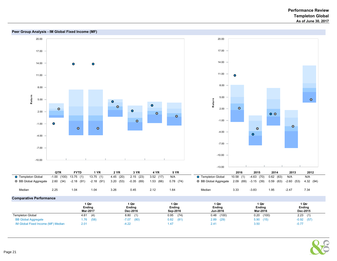

#### Comparative Performance

|                                    | 1 Qtr       | 1 Qtr           | 1 Qtr        | 1 Qtr         | 1 Qtr         | 1 Qtr         |
|------------------------------------|-------------|-----------------|--------------|---------------|---------------|---------------|
|                                    | Ending      | Ending          | Ending       | Ending        | <b>Ending</b> | <b>Ending</b> |
|                                    | Mar-2017    | <b>Dec-2016</b> | Sep-2016     | Jun-2016      | Mar-2016      | Dec-2015      |
| <b>Templeton Global</b>            | 4.61<br>(4) | 8.80            | (74)<br>0.95 | (100)<br>0.48 | $0.20$ (100)  | 2.23<br>(1)   |
| <b>BB Global Aggregate</b>         | (58)        | (80)            | (81)         | (29)          | 5.90          | $-0.92$       |
|                                    | 1.76        | $-7.07$         | 0.82         | 2.89          | (15)          | (57)          |
| IM Global Fixed Income (MF) Median | 2.01        | $-4.22$         | .47          | 2.41          | 3.50          | $-0.77$       |

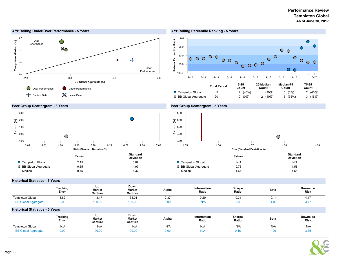

#### 3 Yr Rolling Percentile Ranking - 5 Years



#### Peer Group Scattergram - 3 Years



#### Peer Group Scattergram - 5 Years



|                           | Return  | <b>Standard</b><br><b>Deviation</b> |                       | Return | <b>Standard</b><br><b>Deviation</b> |
|---------------------------|---------|-------------------------------------|-----------------------|--------|-------------------------------------|
| <b>O</b> Templeton Global | 2.15    | 6.89                                | ◯ Templeton Global    | N/A    | N/A                                 |
| ○ BB Global Aggregate     | $-0.35$ | 4.97                                | ○ BB Global Aggregate | 0.78   | 4.58                                |
| _ Median                  | 0.45    | 4.37                                | _ Median              | 1.64   | 4.55                                |

#### Historical Statistics - 3 Years

|                            | <b>Tracking</b><br>Error | Up<br><b>Market</b><br>Capture | Down<br><b>Market</b><br>Capture | Alpha | Information<br>Ratio | Sharpe<br>Ratio | <b>Beta</b> | <b>Downside</b><br><b>Risk</b> |
|----------------------------|--------------------------|--------------------------------|----------------------------------|-------|----------------------|-----------------|-------------|--------------------------------|
| <b>Templeton Global</b>    | 8.82                     | ، ۱ ،                          | $-33.01$                         | 2.37  | 0.29                 | 0.31            | -U.T        | 4. L                           |
| <b>BB Global Aggregate</b> | 0.00                     | 00.00                          | 100.00                           | 0.00  | N/A                  | $-0.09$         | $1.00 -$    | ັ.                             |

#### Historical Statistics - 5 Years

|                            | Tracking<br>Error | Up<br><b>Market</b><br>Capture | Down<br><b>Market</b><br>Capture | Alpha | Information<br>Ratio | Sharpe<br>Ratio | <b>Beta</b>       | <b>Downside</b><br><b>Risk</b> |
|----------------------------|-------------------|--------------------------------|----------------------------------|-------|----------------------|-----------------|-------------------|--------------------------------|
| <b>Templeton Global</b>    | N/A               | N/A                            | N/A                              | N/A   | N/A                  | N/A             | N/A               | N/A                            |
| <b>BB Global Aggregate</b> | 0.00              | 100.00                         | 100.00                           | 0.00  | N/f                  | 0.16            | 1.00 <sub>1</sub> | 331<br><b>.</b>                |

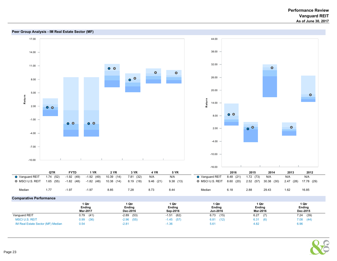



Page 23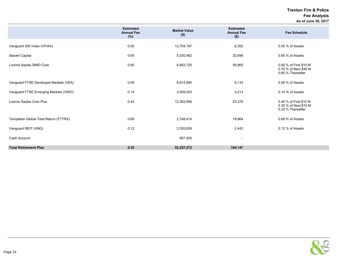Trenton Fire & Police Fee Analysis As of June 30, 2017

|                                       | <b>Estimated</b><br><b>Annual Fee</b><br>(%) | <b>Market Value</b><br>$($ \$) | <b>Estimated</b><br><b>Annual Fee</b><br>$($ \$) | <b>Fee Schedule</b>                                                  |
|---------------------------------------|----------------------------------------------|--------------------------------|--------------------------------------------------|----------------------------------------------------------------------|
| Vanguard 500 Index (VFIAX)            | 0.05                                         | 12,704,197                     | 6,352                                            | 0.05 % of Assets                                                     |
| Seizert Capital                       | 0.65                                         | 5,030,462                      | 32,698                                           | 0.65 % of Assets                                                     |
| Loomis Sayles SMID Core               | 0.90                                         | 6,662,725                      | 59,965                                           | 0.90 % of First \$10 M<br>0.75 % of Next \$40 M<br>0.60 % Thereafter |
| Vanguard FTSE Developed Markets (VEA) | 0.09                                         | 6,814,990                      | 6,133                                            | 0.09 % of Assets                                                     |
| Vanguard FTSE Emerging Markets (VWO)  | 0.14                                         | 3,009,253                      | 4,213                                            | 0.14 % of Assets                                                     |
| Loomis Sayles Core Plus               | 0.43                                         | 12,393,956                     | 53,379                                           | 0.45 % of First \$10 M<br>0.35 % of Next \$10 M<br>0.25 % Thereafter |
| Templeton Global Total Return (FTTRX) | 0.69                                         | 2,748,414                      | 18,964                                           | 0.69 % of Assets                                                     |
| Vanguard REIT (VNQ)                   | 0.12                                         | 2,035,639                      | 2,443                                            | 0.12 % of Assets                                                     |
| Cash Account                          |                                              | 857,935                        | $\overline{\phantom{a}}$                         |                                                                      |
| <b>Total Retirement Plan</b>          | 0.35                                         | 52,257,572                     | 184,147                                          |                                                                      |

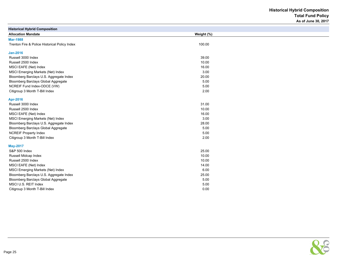Historical Hybrid Composition Total Fund Policy As of June 30, 2017

| <b>Historical Hybrid Composition</b>          |            |
|-----------------------------------------------|------------|
| <b>Allocation Mandate</b>                     | Weight (%) |
| <b>Mar-1988</b>                               |            |
| Trenton Fire & Police Historical Policy Index | 100.00     |
|                                               |            |
| <b>Jan-2016</b>                               |            |
| Russell 3000 Index                            | 39.00      |
| Russell 2500 Index                            | 10.00      |
| MSCI EAFE (Net) Index                         | 16.00      |
| MSCI Emerging Markets (Net) Index             | 3.00       |
| Bloomberg Barclays U.S. Aggregate Index       | 20.00      |
| Bloomberg Barclays Global Aggregate           | 5.00       |
| NCREIF Fund Index-ODCE (VW)                   | 5.00       |
| Citigroup 3 Month T-Bill Index                | 2.00       |
| Apr-2016                                      |            |
| Russell 3000 Index                            | 31.00      |
| Russell 2500 Index                            | 10.00      |
| MSCI EAFE (Net) Index                         | 16.00      |
| MSCI Emerging Markets (Net) Index             | 3.00       |
| Bloomberg Barclays U.S. Aggregate Index       | 28.00      |
| Bloomberg Barclays Global Aggregate           | 5.00       |
| <b>NCREIF Property Index</b>                  | 5.00       |
| Citigroup 3 Month T-Bill Index                | 2.00       |
| <b>May-2017</b>                               |            |
| S&P 500 Index                                 | 25.00      |
| Russell Midcap Index                          | 10.00      |
| Russell 2500 Index                            | 10.00      |
| MSCI EAFE (Net) Index                         | 14.00      |
| MSCI Emerging Markets (Net) Index             | 6.00       |
| Bloomberg Barclays U.S. Aggregate Index       | 25.00      |
| Bloomberg Barclays Global Aggregate           | 5.00       |
| MSCI U.S. REIT Index                          | 5.00       |
| Citigroup 3 Month T-Bill Index                | 0.00       |

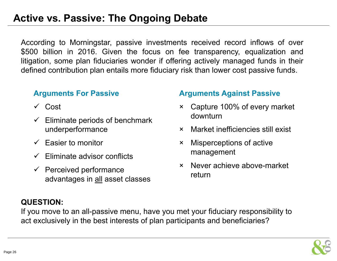## **Active vs. Passive: The Ongoing Debate**

According to Morningstar, passive investments received record inflows of over \$500 billion in 2016. Given the focus on fee transparency, equalization and litigation, some plan fiduciaries wonder if offering actively managed funds in their defined contribution plan entails more fiduciary risk than lower cost passive funds.

## **Arguments For Passive**

- **✓** Cost
- $\checkmark$  Eliminate periods of benchmark underperformance
- $\checkmark$  Easier to monitor
- $\checkmark$  Eliminate advisor conflicts
- $\checkmark$  Perceived performance advantages in all asset classes

## **Arguments Against Passive**

- × Capture 100% of every market downturn
- ×Market inefficiencies still exist
- × Misperceptions of active management
- × Never achieve above-market return

## **QUESTION:**

If you move to an all-passive menu, have you met your fiduciary responsibility to act exclusively in the best interests of plan participants and beneficiaries?

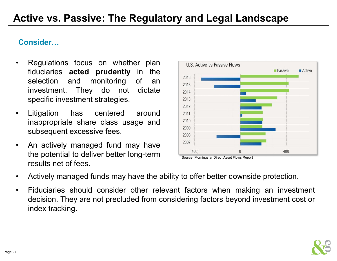## **Consider…**

- • Regulations focus on whether plan fiduciaries **acted prudently** in the selection and monitoring of an investment. They do not dictate specific investment strategies.
- • Litigation has centered around inappropriate share class usage and subsequent excessive fees.
- $\bullet$  An actively managed fund may have the potential to deliver better long-term results net of fees.



Source: Morningstar Direct Asset Flows Report

- •Actively managed funds may have the ability to offer better downside protection.
- $\bullet$  Fiduciaries should consider other relevant factors when making an investment decision. They are not precluded from considering factors beyond investment cost or index tracking.

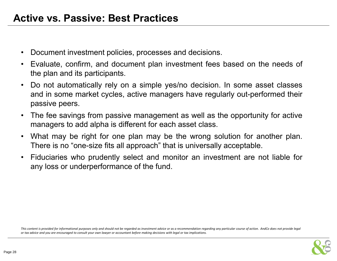- $\bullet$ Document investment policies, processes and decisions.
- • Evaluate, confirm, and document plan investment fees based on the needs of the plan and its participants.
- • Do not automatically rely on <sup>a</sup> simple yes/no decision. In some asset classes and in some market cycles, active managers have regularly out-performed their passive peers.
- $\bullet$  The fee savings from passive management as well as the opportunity for active managers to add alpha is different for each asset class.
- • What may be right for one plan may be the wrong solution for another plan. There is no "one-size fits all approach" that is universally acceptable.
- • Fiduciaries who prudently select and monitor an investment are not liable for any loss or underperformance of the fund.

This content is provided for informational purposes only and should not be regarded as investment advice or as a recommendation regarding any particular course of action. AndCo does not provide legal or tax advice and you are encouraged to consult your own lawyer or accountant before making decisions with legal or tax implications.

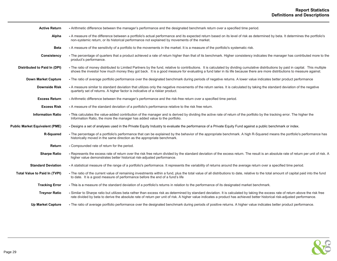| <b>Active Return</b>                  | - Arithmetic difference between the manager's performance and the designated benchmark return over a specified time period.                                                                                                                                                                                                                                    |
|---------------------------------------|----------------------------------------------------------------------------------------------------------------------------------------------------------------------------------------------------------------------------------------------------------------------------------------------------------------------------------------------------------------|
| Alpha                                 | - A measure of the difference between a portfolio's actual performance and its expected return based on its level of risk as determined by beta. It determines the portfolio's<br>non-systemic return, or its historical performance not explained by movements of the market.                                                                                 |
| <b>Beta</b>                           | - A measure of the sensitivity of a portfolio to the movements in the market. It is a measure of the portfolio's systematic risk.                                                                                                                                                                                                                              |
| Consistency                           | - The percentage of quarters that a product achieved a rate of return higher than that of its benchmark. Higher consistency indicates the manager has contributed more to the<br>product's performance.                                                                                                                                                        |
| Distributed to Paid In (DPI)          | - The ratio of money distributed to Limited Partners by the fund, relative to contributions. It is calculated by dividing cumulative distributions by paid in capital. This multiple<br>shows the investor how much money they got back. It is a good measure for evaluating a fund later in its life because there are more distributions to measure against. |
| <b>Down Market Capture</b>            | - The ratio of average portfolio performance over the designated benchmark during periods of negative returns. A lower value indicates better product performance                                                                                                                                                                                              |
| <b>Downside Risk</b>                  | - A measure similar to standard deviation that utilizes only the negative movements of the return series. It is calculated by taking the standard deviation of the negative<br>quarterly set of returns. A higher factor is indicative of a riskier product.                                                                                                   |
| <b>Excess Return</b>                  | - Arithmetic difference between the manager's performance and the risk-free return over a specified time period.                                                                                                                                                                                                                                               |
| <b>Excess Risk</b>                    | - A measure of the standard deviation of a portfolio's performance relative to the risk free return.                                                                                                                                                                                                                                                           |
| <b>Information Ratio</b>              | - This calculates the value-added contribution of the manager and is derived by dividing the active rate of return of the portfolio by the tracking error. The higher the<br>Information Ratio, the more the manager has added value to the portfolio.                                                                                                         |
| <b>Public Market Equivalent (PME)</b> | - Designs a set of analyses used in the Private Equity Industry to evaluate the performance of a Private Equity Fund against a public benchmark or index.                                                                                                                                                                                                      |
| R-Squared                             | - The percentage of a portfolio's performance that can be explained by the behavior of the appropriate benchmark. A high R-Squared means the portfolio's performance has<br>historically moved in the same direction as the appropriate benchmark.                                                                                                             |
| Return                                | - Compounded rate of return for the period.                                                                                                                                                                                                                                                                                                                    |
| <b>Sharpe Ratio</b>                   | - Represents the excess rate of return over the risk free return divided by the standard deviation of the excess return. The result is an absolute rate of return per unit of risk. A<br>higher value demonstrates better historical risk-adjusted performance.                                                                                                |
| <b>Standard Deviation</b>             | - A statistical measure of the range of a portfolio's performance. It represents the variability of returns around the average return over a specified time period.                                                                                                                                                                                            |
| Total Value to Paid In (TVPI)         | - The ratio of the current value of remaining investments within a fund, plus the total value of all distributions to date, relative to the total amount of capital paid into the fund<br>to date. It is a good measure of performance before the end of a fund's life                                                                                         |
| <b>Tracking Error</b>                 | - This is a measure of the standard deviation of a portfolio's returns in relation to the performance of its designated market benchmark.                                                                                                                                                                                                                      |
| <b>Treynor Ratio</b>                  | - Similar to Sharpe ratio but utilizes beta rather than excess risk as determined by standard deviation. It is calculated by taking the excess rate of return above the risk free<br>rate divided by beta to derive the absolute rate of return per unit of risk. A higher value indicates a product has achieved better historical risk-adjusted performance. |
| <b>Up Market Capture</b>              | - The ratio of average portfolio performance over the designated benchmark during periods of positive returns. A higher value indicates better product performance.                                                                                                                                                                                            |

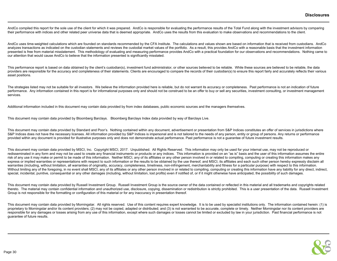AndCo compiled this report for the sole use of the client for which it was prepared. AndCo is responsible for evaluating the performance results of the Total Fund along with the investment advisors by comparing their performance with indices and other related peer universe data that is deemed appropriate. AndCo uses the results from this evaluation to make observations and recommendations to the client.

AndCo uses time-weighted calculations which are founded on standards recommended by the CFA Institute. The calculations and values shown are based on information that is received from custodians. AndCo analyzes transactions as indicated on the custodian statements and reviews the custodial market values of the portfolio. As a result, this provides AndCo with a reasonable basis that the investment information presented is free from material misstatement. This methodology of evaluating and measuring performance provides AndCo with a practical foundation for our observations and recommendations. Nothing came to our attention that would cause AndCo to believe that the information presented is significantly misstated.

This performance report is based on data obtained by the client's custodian(s), investment fund administrator, or other sources believed to be reliable. While these sources are believed to be reliable, the data providers are responsible for the accuracy and completeness of their statements. Clients are encouraged to compare the records of their custodian(s) to ensure this report fairly and accurately reflects their various asset positions.

The strategies listed may not be suitable for all investors. We believe the information provided here is reliable, but do not warrant its accuracy or completeness. Past performance is not an indication of future performance. Any information contained in this report is for informational purposes only and should not be construed to be an offer to buy or sell any securities, investment consulting, or investment management services.

Additional information included in this document may contain data provided by from index databases, public economic sources and the managers themselves.

This document may contain data provided by Bloomberg Barclays. Bloomberg Barclays Index data provided by way of Barclays Live.

This document may contain data provided by Standard and Poor's. Nothing contained within any document, advertisement or presentation from S&P Indices constitutes an offer of services in jurisdictions where S&P Indices does not have the necessary licenses. All information provided by S&P Indices is impersonal and is not tailored to the needs of any person, entity or group of persons. Any returns or performance provided within any document is provided for illustrative purposes only and does not demonstrate actual performance. Past performance is not a quarantee of future investment results.

This document may contain data provided by MSCI, Inc. Copyright MSCI, 2017. Unpublished. All Rights Reserved. This information may only be used for your internal use, may not be reproduced or redisseminated in any form and may not be used to create any financial instruments or products or any indices. This information is provided on an "as is" basis and the user of this information assumes the entire risk of any use it may make or permit to be made of this information. Neither MSCI, any of its affiliates or any other person involved in or related to compiling, computing or creating this information makes any express or implied warranties or representations with respect to such information or the results to be obtained by the use thereof, and MSCI, its affiliates and each such other person hereby expressly disclaim all warranties (including, without limitation, all warranties of originality, accuracy, completeness, timeliness, non-infringement, merchantability and fitness for a particular purpose) with respect to this information. Without limiting any of the foregoing, in no event shall MSCI, any of its affiliates or any other person involved in or related to compiling, computing or creating this information have any liability for any direct, indire special, incidental, punitive, consequential or any other damages (including, without limitation, lost profits) even if notified of, or if it might otherwise have anticipated, the possibility of such damages.

This document may contain data provided by Russell Investment Group. Russell Investment Group is the source owner of the data contained or reflected in this material and all trademarks and copyrights related thereto. The material may contain confidential information and unauthorized use, disclosure, copying, dissemination or redistribution is strictly prohibited. This is a user presentation of the data. Russell Investment Group is not responsible for the formatting or configuration of this material or for any inaccuracy in presentation thereof.

This document may contain data provided by Morningstar. All rights reserved. Use of this content requires expert knowledge. It is to be used by specialist institutions only. The information contained herein: (1) is proprietary to Morningstar and/or its content providers; (2) may not be copied, adapted or distributed; and (3) is not warranted to be accurate, complete or timely. Neither Morningstar nor its content providers are responsible for any damages or losses arising from any use of this information, except where such damages or losses cannot be limited or excluded by law in your jurisdiction. Past financial performance is not guarantee of future results.